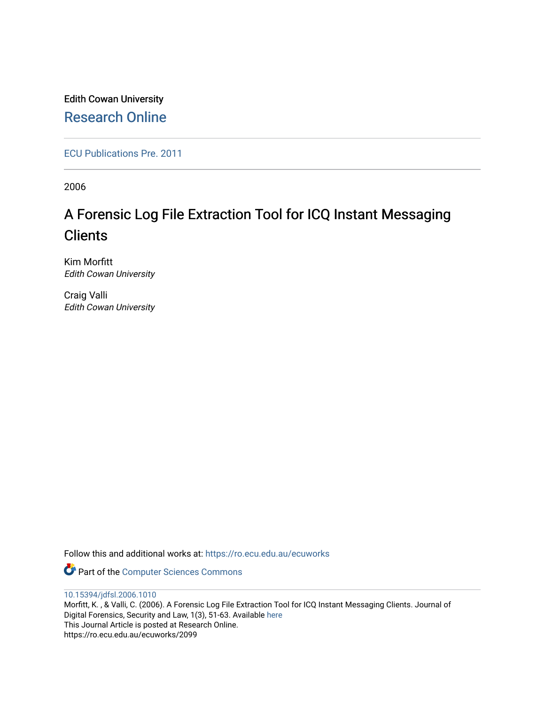Edith Cowan University [Research Online](https://ro.ecu.edu.au/) 

[ECU Publications Pre. 2011](https://ro.ecu.edu.au/ecuworks)

2006

# A Forensic Log File Extraction Tool for ICQ Instant Messaging **Clients**

Kim Morfitt Edith Cowan University

Craig Valli Edith Cowan University

Follow this and additional works at: [https://ro.ecu.edu.au/ecuworks](https://ro.ecu.edu.au/ecuworks?utm_source=ro.ecu.edu.au%2Fecuworks%2F2099&utm_medium=PDF&utm_campaign=PDFCoverPages) 

Part of the [Computer Sciences Commons](http://network.bepress.com/hgg/discipline/142?utm_source=ro.ecu.edu.au%2Fecuworks%2F2099&utm_medium=PDF&utm_campaign=PDFCoverPages)

[10.15394/jdfsl.2006.1010](http://dx.doi.org/10.15394/jdfsl.2006.1010) 

Morfitt, K. , & Valli, C. (2006). A Forensic Log File Extraction Tool for ICQ Instant Messaging Clients. Journal of Digital Forensics, Security and Law, 1(3), 51-63. Available [here](https://doi.org/10.15394/jdfsl.2006.1010) This Journal Article is posted at Research Online. https://ro.ecu.edu.au/ecuworks/2099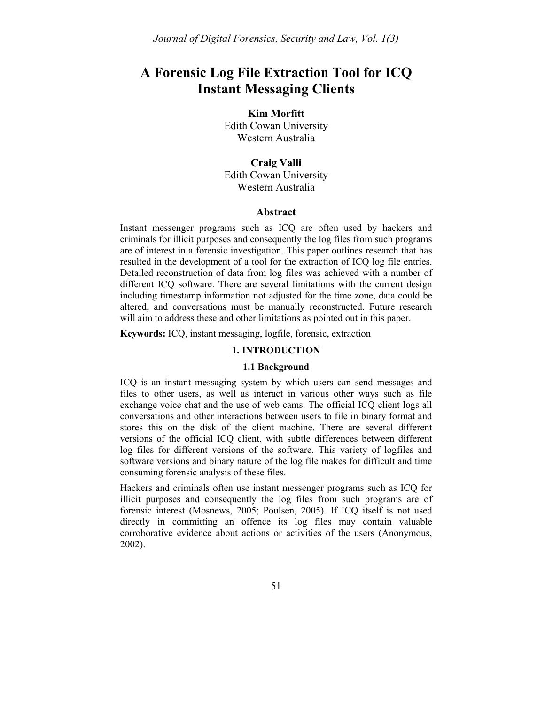# **A Forensic Log File Extraction Tool for ICQ Instant Messaging Clients**

### **Kim Morfitt**

Edith Cowan University Western Australia

**Craig Valli**  Edith Cowan University Western Australia

#### **Abstract**

Instant messenger programs such as ICQ are often used by hackers and criminals for illicit purposes and consequently the log files from such programs are of interest in a forensic investigation. This paper outlines research that has resulted in the development of a tool for the extraction of ICQ log file entries. Detailed reconstruction of data from log files was achieved with a number of different ICQ software. There are several limitations with the current design including timestamp information not adjusted for the time zone, data could be altered, and conversations must be manually reconstructed. Future research will aim to address these and other limitations as pointed out in this paper.

**Keywords:** ICQ, instant messaging, logfile, forensic, extraction

#### **1. INTRODUCTION**

#### **1.1 Background**

ICQ is an instant messaging system by which users can send messages and files to other users, as well as interact in various other ways such as file exchange voice chat and the use of web cams. The official ICQ client logs all conversations and other interactions between users to file in binary format and stores this on the disk of the client machine. There are several different versions of the official ICQ client, with subtle differences between different log files for different versions of the software. This variety of logfiles and software versions and binary nature of the log file makes for difficult and time consuming forensic analysis of these files.

Hackers and criminals often use instant messenger programs such as ICQ for illicit purposes and consequently the log files from such programs are of forensic interest (Mosnews, 2005; Poulsen, 2005). If ICQ itself is not used directly in committing an offence its log files may contain valuable corroborative evidence about actions or activities of the users (Anonymous, 2002).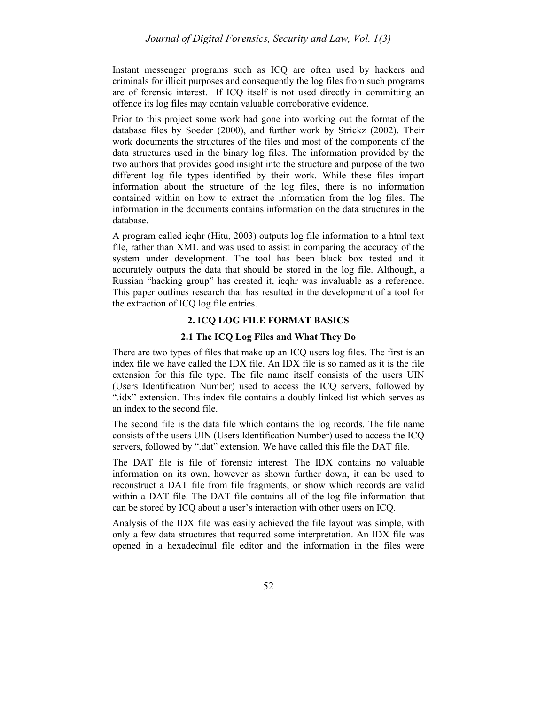Instant messenger programs such as ICQ are often used by hackers and criminals for illicit purposes and consequently the log files from such programs are of forensic interest. If ICQ itself is not used directly in committing an offence its log files may contain valuable corroborative evidence.

Prior to this project some work had gone into working out the format of the database files by Soeder (2000), and further work by Strickz (2002). Their work documents the structures of the files and most of the components of the data structures used in the binary log files. The information provided by the two authors that provides good insight into the structure and purpose of the two different log file types identified by their work. While these files impart information about the structure of the log files, there is no information contained within on how to extract the information from the log files. The information in the documents contains information on the data structures in the database.

A program called icqhr (Hitu, 2003) outputs log file information to a html text file, rather than XML and was used to assist in comparing the accuracy of the system under development. The tool has been black box tested and it accurately outputs the data that should be stored in the log file. Although, a Russian "hacking group" has created it, icqhr was invaluable as a reference. This paper outlines research that has resulted in the development of a tool for the extraction of ICQ log file entries.

## **2. ICQ LOG FILE FORMAT BASICS**

#### **2.1 The ICQ Log Files and What They Do**

There are two types of files that make up an ICQ users log files. The first is an index file we have called the IDX file. An IDX file is so named as it is the file extension for this file type. The file name itself consists of the users UIN (Users Identification Number) used to access the ICQ servers, followed by ".idx" extension. This index file contains a doubly linked list which serves as an index to the second file.

The second file is the data file which contains the log records. The file name consists of the users UIN (Users Identification Number) used to access the ICQ servers, followed by ".dat" extension. We have called this file the DAT file.

The DAT file is file of forensic interest. The IDX contains no valuable information on its own, however as shown further down, it can be used to reconstruct a DAT file from file fragments, or show which records are valid within a DAT file. The DAT file contains all of the log file information that can be stored by ICQ about a user's interaction with other users on ICQ.

Analysis of the IDX file was easily achieved the file layout was simple, with only a few data structures that required some interpretation. An IDX file was opened in a hexadecimal file editor and the information in the files were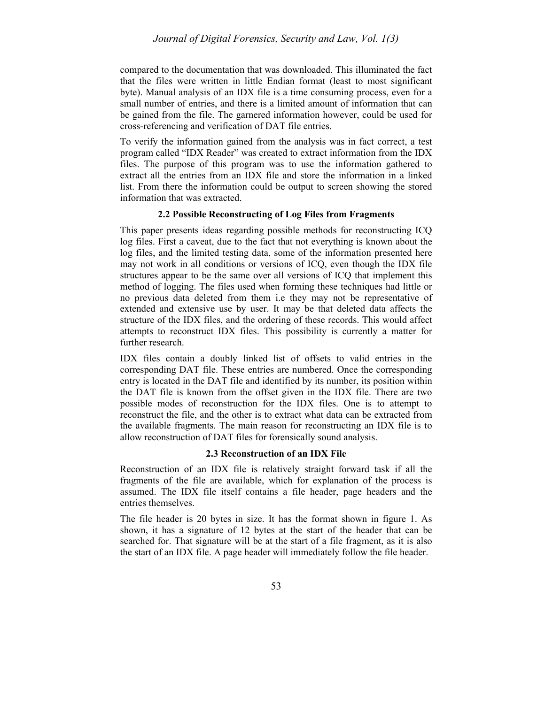compared to the documentation that was downloaded. This illuminated the fact that the files were written in little Endian format (least to most significant byte). Manual analysis of an IDX file is a time consuming process, even for a small number of entries, and there is a limited amount of information that can be gained from the file. The garnered information however, could be used for cross-referencing and verification of DAT file entries.

To verify the information gained from the analysis was in fact correct, a test program called "IDX Reader" was created to extract information from the IDX files. The purpose of this program was to use the information gathered to extract all the entries from an IDX file and store the information in a linked list. From there the information could be output to screen showing the stored information that was extracted.

#### **2.2 Possible Reconstructing of Log Files from Fragments**

This paper presents ideas regarding possible methods for reconstructing ICQ log files. First a caveat, due to the fact that not everything is known about the log files, and the limited testing data, some of the information presented here may not work in all conditions or versions of ICQ, even though the IDX file structures appear to be the same over all versions of ICQ that implement this method of logging. The files used when forming these techniques had little or no previous data deleted from them i.e they may not be representative of extended and extensive use by user. It may be that deleted data affects the structure of the IDX files, and the ordering of these records. This would affect attempts to reconstruct IDX files. This possibility is currently a matter for further research.

IDX files contain a doubly linked list of offsets to valid entries in the corresponding DAT file. These entries are numbered. Once the corresponding entry is located in the DAT file and identified by its number, its position within the DAT file is known from the offset given in the IDX file. There are two possible modes of reconstruction for the IDX files. One is to attempt to reconstruct the file, and the other is to extract what data can be extracted from the available fragments. The main reason for reconstructing an IDX file is to allow reconstruction of DAT files for forensically sound analysis.

#### **2.3 Reconstruction of an IDX File**

Reconstruction of an IDX file is relatively straight forward task if all the fragments of the file are available, which for explanation of the process is assumed. The IDX file itself contains a file header, page headers and the entries themselves.

The file header is 20 bytes in size. It has the format shown in figure 1. As shown, it has a signature of 12 bytes at the start of the header that can be searched for. That signature will be at the start of a file fragment, as it is also the start of an IDX file. A page header will immediately follow the file header.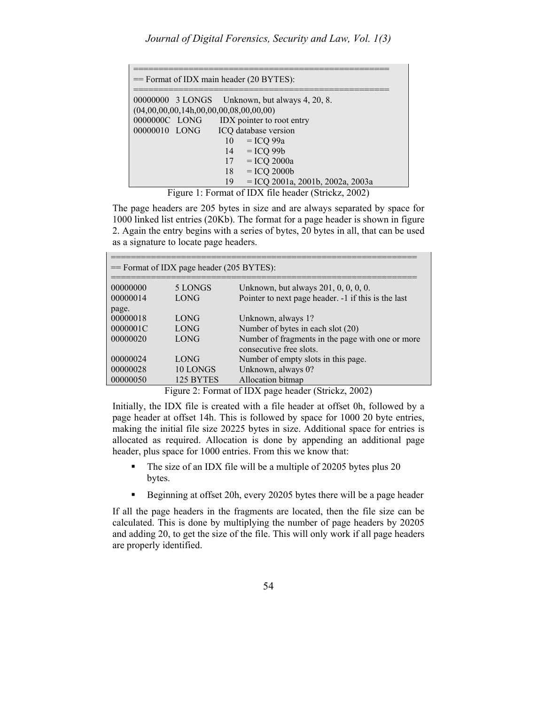| $=$ Format of IDX main header (20 BYTES): |  |                                                                                                     |  |  |  |  |
|-------------------------------------------|--|-----------------------------------------------------------------------------------------------------|--|--|--|--|
|                                           |  | 00000000 3 LONGS Unknown, but always 4, 20, 8.<br>$(04,00,00,00,14h,00,00,00,08,00,00,00)$          |  |  |  |  |
| 0000000C LONG                             |  | IDX pointer to root entry                                                                           |  |  |  |  |
| 00000010 LONG                             |  | ICQ database version                                                                                |  |  |  |  |
|                                           |  | $=$ ICQ 99a<br>10                                                                                   |  |  |  |  |
|                                           |  | $=$ ICQ 99 $b$<br>14<br>$=$ ICQ 2000a<br>17                                                         |  |  |  |  |
|                                           |  | $=$ ICQ 2000b<br>18                                                                                 |  |  |  |  |
| $\overline{\phantom{a}}$ .                |  | $=$ ICQ 2001a, 2001b, 2002a, 2003a<br>19<br>$\alpha$ , and $\alpha$ is a set of the set of $\alpha$ |  |  |  |  |

Figure 1: Format of IDX file header (Strickz, 2002)

The page headers are 205 bytes in size and are always separated by space for 1000 linked list entries (20Kb). The format for a page header is shown in figure 2. Again the entry begins with a series of bytes, 20 bytes in all, that can be used as a signature to locate page headers.

| $=$ Format of IDX page header (205 BYTES): |             |                                                     |  |  |
|--------------------------------------------|-------------|-----------------------------------------------------|--|--|
| 00000000                                   | 5 LONGS     | Unknown, but always 201, 0, 0, 0, 0.                |  |  |
| 00000014                                   | LONG        | Pointer to next page header. -1 if this is the last |  |  |
| page.                                      |             |                                                     |  |  |
| 00000018                                   | LONG        | Unknown, always 1?                                  |  |  |
| 0000001C                                   | LONG        | Number of bytes in each slot (20)                   |  |  |
| 00000020                                   | LONG        | Number of fragments in the page with one or more    |  |  |
|                                            |             | consecutive free slots.                             |  |  |
| 00000024                                   | <b>LONG</b> | Number of empty slots in this page.                 |  |  |
| 00000028                                   | 10 LONGS    | Unknown, always 0?                                  |  |  |
| 00000050                                   | 125 BYTES   | Allocation bitmap                                   |  |  |

Figure 2: Format of IDX page header (Strickz, 2002)

Initially, the IDX file is created with a file header at offset 0h, followed by a page header at offset 14h. This is followed by space for 1000 20 byte entries, making the initial file size 20225 bytes in size. Additional space for entries is allocated as required. Allocation is done by appending an additional page header, plus space for 1000 entries. From this we know that:

- The size of an IDX file will be a multiple of 20205 bytes plus 20 bytes.
- Beginning at offset 20h, every 20205 bytes there will be a page header

If all the page headers in the fragments are located, then the file size can be calculated. This is done by multiplying the number of page headers by 20205 and adding 20, to get the size of the file. This will only work if all page headers are properly identified.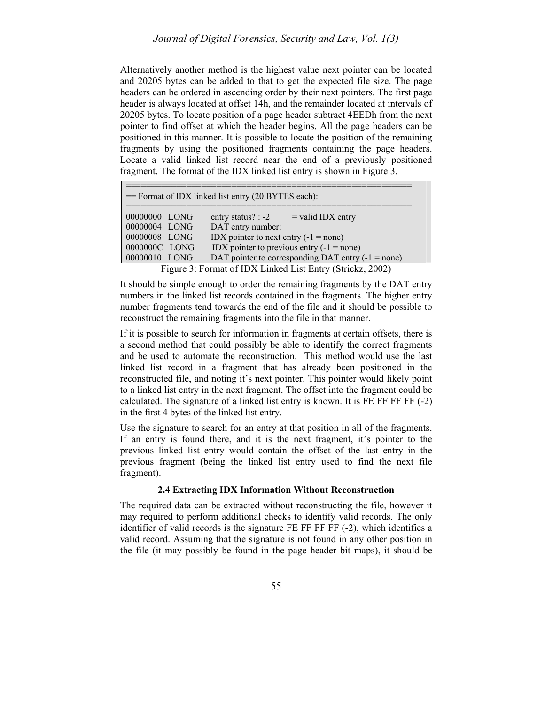Alternatively another method is the highest value next pointer can be located and 20205 bytes can be added to that to get the expected file size. The page headers can be ordered in ascending order by their next pointers. The first page header is always located at offset 14h, and the remainder located at intervals of 20205 bytes. To locate position of a page header subtract 4EEDh from the next pointer to find offset at which the header begins. All the page headers can be positioned in this manner. It is possible to locate the position of the remaining fragments by using the positioned fragments containing the page headers. Locate a valid linked list record near the end of a previously positioned fragment. The format of the IDX linked list entry is shown in Figure 3.

| == Format of IDX linked list entry (20 BYTES each):                                |                                                      |  |  |  |  |
|------------------------------------------------------------------------------------|------------------------------------------------------|--|--|--|--|
|                                                                                    |                                                      |  |  |  |  |
| 00000000 LONG                                                                      | $=$ valid IDX entry<br>entry status? $: -2$          |  |  |  |  |
| 00000004 LONG                                                                      | DAT entry number:                                    |  |  |  |  |
|                                                                                    |                                                      |  |  |  |  |
| 00000008 LONG                                                                      | IDX pointer to next entry $(-1 = none)$              |  |  |  |  |
| 0000000C LONG                                                                      | IDX pointer to previous entry $(-1 = none)$          |  |  |  |  |
| 00000010 LONG                                                                      | DAT pointer to corresponding DAT entry $(-1 = none)$ |  |  |  |  |
| $\Gamma$ igure 2: $\Gamma$ ormet of IDV Linked List $\Gamma$ ntwr (Stricker, 2002) |                                                      |  |  |  |  |

Figure 3: Format of IDX Linked List Entry (Strickz, 2002)

It should be simple enough to order the remaining fragments by the DAT entry numbers in the linked list records contained in the fragments. The higher entry number fragments tend towards the end of the file and it should be possible to reconstruct the remaining fragments into the file in that manner.

If it is possible to search for information in fragments at certain offsets, there is a second method that could possibly be able to identify the correct fragments and be used to automate the reconstruction. This method would use the last linked list record in a fragment that has already been positioned in the reconstructed file, and noting it's next pointer. This pointer would likely point to a linked list entry in the next fragment. The offset into the fragment could be calculated. The signature of a linked list entry is known. It is FE FF FF FF (-2) in the first 4 bytes of the linked list entry.

Use the signature to search for an entry at that position in all of the fragments. If an entry is found there, and it is the next fragment, it's pointer to the previous linked list entry would contain the offset of the last entry in the previous fragment (being the linked list entry used to find the next file fragment).

#### **2.4 Extracting IDX Information Without Reconstruction**

The required data can be extracted without reconstructing the file, however it may required to perform additional checks to identify valid records. The only identifier of valid records is the signature FE FF FF FF (-2), which identifies a valid record. Assuming that the signature is not found in any other position in the file (it may possibly be found in the page header bit maps), it should be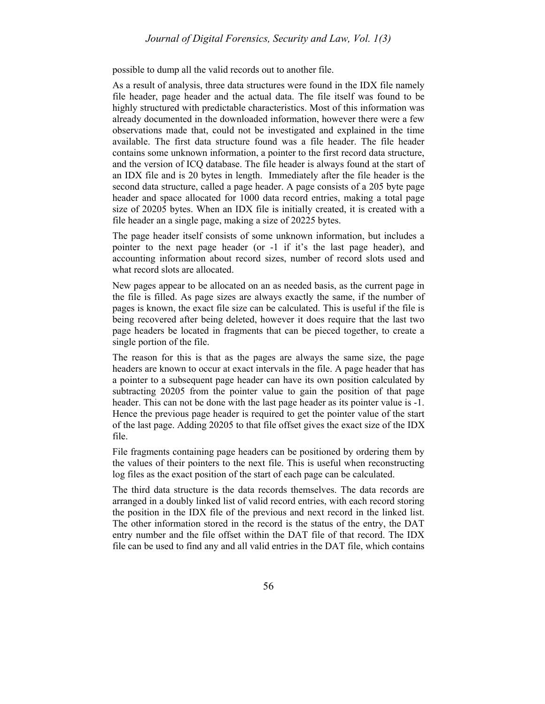possible to dump all the valid records out to another file.

As a result of analysis, three data structures were found in the IDX file namely file header, page header and the actual data. The file itself was found to be highly structured with predictable characteristics. Most of this information was already documented in the downloaded information, however there were a few observations made that, could not be investigated and explained in the time available. The first data structure found was a file header. The file header contains some unknown information, a pointer to the first record data structure, and the version of ICQ database. The file header is always found at the start of an IDX file and is 20 bytes in length. Immediately after the file header is the second data structure, called a page header. A page consists of a 205 byte page header and space allocated for 1000 data record entries, making a total page size of 20205 bytes. When an IDX file is initially created, it is created with a file header an a single page, making a size of 20225 bytes.

The page header itself consists of some unknown information, but includes a pointer to the next page header (or -1 if it's the last page header), and accounting information about record sizes, number of record slots used and what record slots are allocated.

New pages appear to be allocated on an as needed basis, as the current page in the file is filled. As page sizes are always exactly the same, if the number of pages is known, the exact file size can be calculated. This is useful if the file is being recovered after being deleted, however it does require that the last two page headers be located in fragments that can be pieced together, to create a single portion of the file.

The reason for this is that as the pages are always the same size, the page headers are known to occur at exact intervals in the file. A page header that has a pointer to a subsequent page header can have its own position calculated by subtracting 20205 from the pointer value to gain the position of that page header. This can not be done with the last page header as its pointer value is -1. Hence the previous page header is required to get the pointer value of the start of the last page. Adding 20205 to that file offset gives the exact size of the IDX file.

File fragments containing page headers can be positioned by ordering them by the values of their pointers to the next file. This is useful when reconstructing log files as the exact position of the start of each page can be calculated.

The third data structure is the data records themselves. The data records are arranged in a doubly linked list of valid record entries, with each record storing the position in the IDX file of the previous and next record in the linked list. The other information stored in the record is the status of the entry, the DAT entry number and the file offset within the DAT file of that record. The IDX file can be used to find any and all valid entries in the DAT file, which contains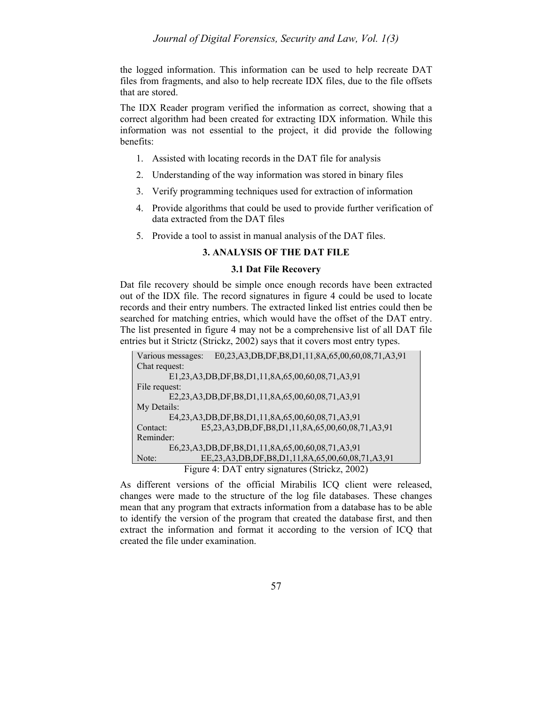the logged information. This information can be used to help recreate DAT files from fragments, and also to help recreate IDX files, due to the file offsets that are stored.

The IDX Reader program verified the information as correct, showing that a correct algorithm had been created for extracting IDX information. While this information was not essential to the project, it did provide the following benefits:

- 1. Assisted with locating records in the DAT file for analysis
- 2. Understanding of the way information was stored in binary files
- 3. Verify programming techniques used for extraction of information
- 4. Provide algorithms that could be used to provide further verification of data extracted from the DAT files
- 5. Provide a tool to assist in manual analysis of the DAT files.

#### **3. ANALYSIS OF THE DAT FILE**

#### **3.1 Dat File Recovery**

Dat file recovery should be simple once enough records have been extracted out of the IDX file. The record signatures in figure 4 could be used to locate records and their entry numbers. The extracted linked list entries could then be searched for matching entries, which would have the offset of the DAT entry. The list presented in figure 4 may not be a comprehensive list of all DAT file entries but it Strictz (Strickz, 2002) says that it covers most entry types.

| Various messages: |                                                 | E0,23,A3,DB,DF,B8,D1,11,8A,65,00,60,08,71,A3,91                |  |  |  |
|-------------------|-------------------------------------------------|----------------------------------------------------------------|--|--|--|
| Chat request:     |                                                 |                                                                |  |  |  |
|                   |                                                 | E1,23,A3,DB,DF,B8,D1,11,8A,65,00,60,08,71,A3,91                |  |  |  |
| File request:     |                                                 |                                                                |  |  |  |
|                   | E2,23,A3,DB,DF,B8,D1,11,8A,65,00,60,08,71,A3,91 |                                                                |  |  |  |
| My Details:       |                                                 |                                                                |  |  |  |
|                   |                                                 | E4,23,A3,DB,DF,B8,D1,11,8A,65,00,60,08,71,A3,91                |  |  |  |
| Contact:          |                                                 | E5,23,A3,DB,DF,B8,D1,11,8A,65,00,60,08,71,A3,91                |  |  |  |
| Reminder:         |                                                 |                                                                |  |  |  |
|                   |                                                 | E6,23,A3,DB,DF,B8,D1,11,8A,65,00,60,08,71,A3,91                |  |  |  |
| Note:             |                                                 | EE, 23, A3, DB, DF, B8, D1, 11, 8A, 65, 00, 60, 08, 71, A3, 91 |  |  |  |
|                   |                                                 | Figure 4: DAT entry signatures (Strickz, 2002)                 |  |  |  |

As different versions of the official Mirabilis ICQ client were released, changes were made to the structure of the log file databases. These changes mean that any program that extracts information from a database has to be able to identify the version of the program that created the database first, and then extract the information and format it according to the version of ICQ that created the file under examination.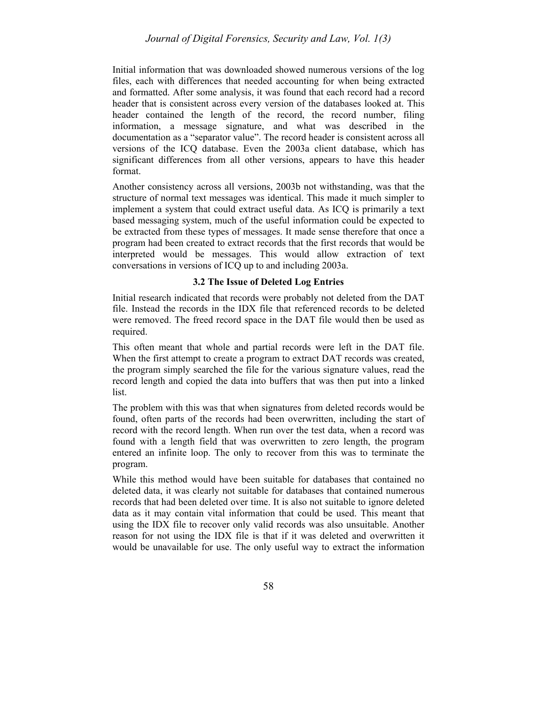Initial information that was downloaded showed numerous versions of the log files, each with differences that needed accounting for when being extracted and formatted. After some analysis, it was found that each record had a record header that is consistent across every version of the databases looked at. This header contained the length of the record, the record number, filing information, a message signature, and what was described in the documentation as a "separator value". The record header is consistent across all versions of the ICQ database. Even the 2003a client database, which has significant differences from all other versions, appears to have this header format.

Another consistency across all versions, 2003b not withstanding, was that the structure of normal text messages was identical. This made it much simpler to implement a system that could extract useful data. As ICQ is primarily a text based messaging system, much of the useful information could be expected to be extracted from these types of messages. It made sense therefore that once a program had been created to extract records that the first records that would be interpreted would be messages. This would allow extraction of text conversations in versions of ICQ up to and including 2003a.

#### **3.2 The Issue of Deleted Log Entries**

Initial research indicated that records were probably not deleted from the DAT file. Instead the records in the IDX file that referenced records to be deleted were removed. The freed record space in the DAT file would then be used as required.

This often meant that whole and partial records were left in the DAT file. When the first attempt to create a program to extract DAT records was created, the program simply searched the file for the various signature values, read the record length and copied the data into buffers that was then put into a linked list.

The problem with this was that when signatures from deleted records would be found, often parts of the records had been overwritten, including the start of record with the record length. When run over the test data, when a record was found with a length field that was overwritten to zero length, the program entered an infinite loop. The only to recover from this was to terminate the program.

While this method would have been suitable for databases that contained no deleted data, it was clearly not suitable for databases that contained numerous records that had been deleted over time. It is also not suitable to ignore deleted data as it may contain vital information that could be used. This meant that using the IDX file to recover only valid records was also unsuitable. Another reason for not using the IDX file is that if it was deleted and overwritten it would be unavailable for use. The only useful way to extract the information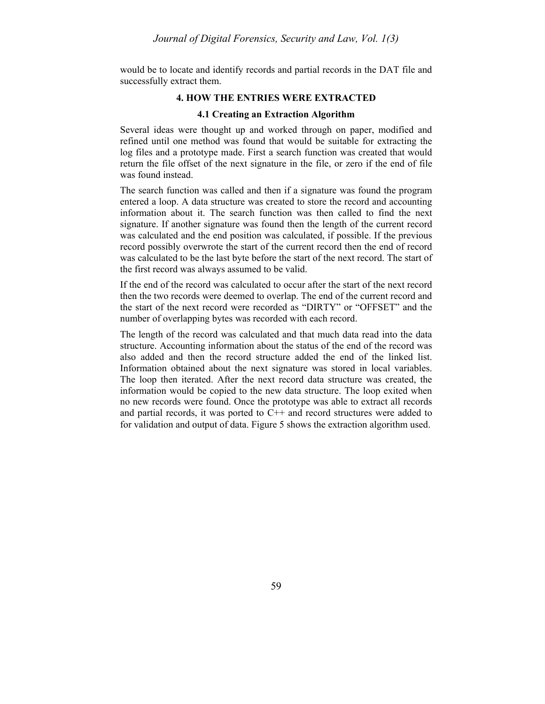would be to locate and identify records and partial records in the DAT file and successfully extract them.

#### **4. HOW THE ENTRIES WERE EXTRACTED**

#### **4.1 Creating an Extraction Algorithm**

Several ideas were thought up and worked through on paper, modified and refined until one method was found that would be suitable for extracting the log files and a prototype made. First a search function was created that would return the file offset of the next signature in the file, or zero if the end of file was found instead.

The search function was called and then if a signature was found the program entered a loop. A data structure was created to store the record and accounting information about it. The search function was then called to find the next signature. If another signature was found then the length of the current record was calculated and the end position was calculated, if possible. If the previous record possibly overwrote the start of the current record then the end of record was calculated to be the last byte before the start of the next record. The start of the first record was always assumed to be valid.

If the end of the record was calculated to occur after the start of the next record then the two records were deemed to overlap. The end of the current record and the start of the next record were recorded as "DIRTY" or "OFFSET" and the number of overlapping bytes was recorded with each record.

The length of the record was calculated and that much data read into the data structure. Accounting information about the status of the end of the record was also added and then the record structure added the end of the linked list. Information obtained about the next signature was stored in local variables. The loop then iterated. After the next record data structure was created, the information would be copied to the new data structure. The loop exited when no new records were found. Once the prototype was able to extract all records and partial records, it was ported to  $C++$  and record structures were added to for validation and output of data. Figure 5 shows the extraction algorithm used.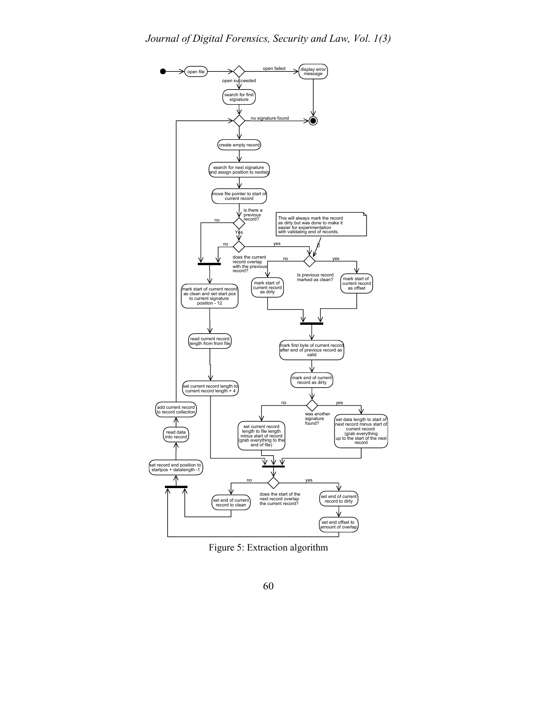

Figure 5: Extraction algorithm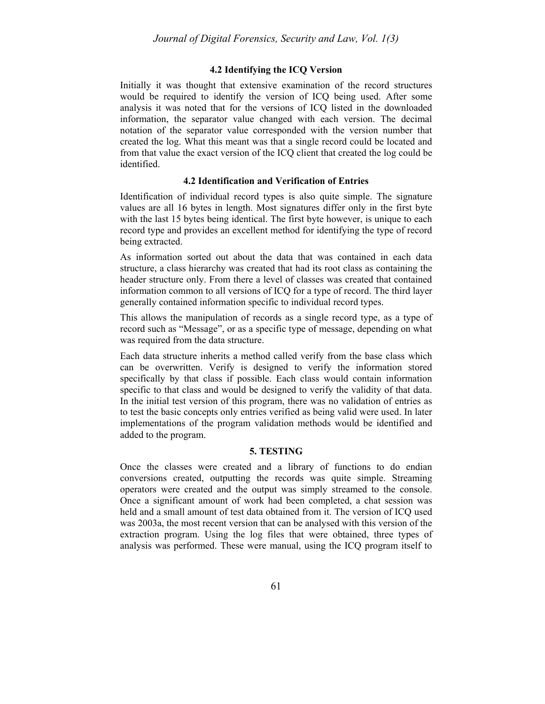#### **4.2 Identifying the ICQ Version**

Initially it was thought that extensive examination of the record structures would be required to identify the version of ICQ being used. After some analysis it was noted that for the versions of ICQ listed in the downloaded information, the separator value changed with each version. The decimal notation of the separator value corresponded with the version number that created the log. What this meant was that a single record could be located and from that value the exact version of the ICQ client that created the log could be identified.

#### **4.2 Identification and Verification of Entries**

Identification of individual record types is also quite simple. The signature values are all 16 bytes in length. Most signatures differ only in the first byte with the last 15 bytes being identical. The first byte however, is unique to each record type and provides an excellent method for identifying the type of record being extracted.

As information sorted out about the data that was contained in each data structure, a class hierarchy was created that had its root class as containing the header structure only. From there a level of classes was created that contained information common to all versions of ICQ for a type of record. The third layer generally contained information specific to individual record types.

This allows the manipulation of records as a single record type, as a type of record such as "Message", or as a specific type of message, depending on what was required from the data structure.

Each data structure inherits a method called verify from the base class which can be overwritten. Verify is designed to verify the information stored specifically by that class if possible. Each class would contain information specific to that class and would be designed to verify the validity of that data. In the initial test version of this program, there was no validation of entries as to test the basic concepts only entries verified as being valid were used. In later implementations of the program validation methods would be identified and added to the program.

#### **5. TESTING**

Once the classes were created and a library of functions to do endian conversions created, outputting the records was quite simple. Streaming operators were created and the output was simply streamed to the console. Once a significant amount of work had been completed, a chat session was held and a small amount of test data obtained from it. The version of ICQ used was 2003a, the most recent version that can be analysed with this version of the extraction program. Using the log files that were obtained, three types of analysis was performed. These were manual, using the ICQ program itself to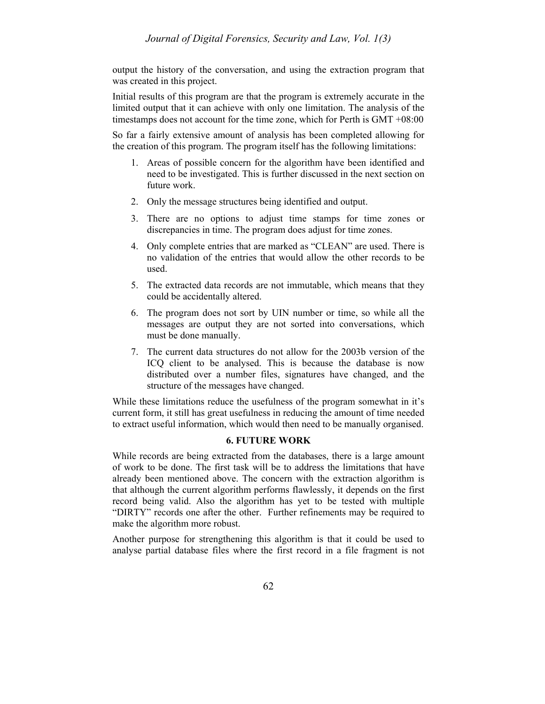output the history of the conversation, and using the extraction program that was created in this project.

Initial results of this program are that the program is extremely accurate in the limited output that it can achieve with only one limitation. The analysis of the timestamps does not account for the time zone, which for Perth is GMT +08:00

So far a fairly extensive amount of analysis has been completed allowing for the creation of this program. The program itself has the following limitations:

- 1. Areas of possible concern for the algorithm have been identified and need to be investigated. This is further discussed in the next section on future work.
- 2. Only the message structures being identified and output.
- 3. There are no options to adjust time stamps for time zones or discrepancies in time. The program does adjust for time zones.
- 4. Only complete entries that are marked as "CLEAN" are used. There is no validation of the entries that would allow the other records to be used.
- 5. The extracted data records are not immutable, which means that they could be accidentally altered.
- 6. The program does not sort by UIN number or time, so while all the messages are output they are not sorted into conversations, which must be done manually.
- 7. The current data structures do not allow for the 2003b version of the ICQ client to be analysed. This is because the database is now distributed over a number files, signatures have changed, and the structure of the messages have changed.

While these limitations reduce the usefulness of the program somewhat in it's current form, it still has great usefulness in reducing the amount of time needed to extract useful information, which would then need to be manually organised.

#### **6. FUTURE WORK**

While records are being extracted from the databases, there is a large amount of work to be done. The first task will be to address the limitations that have already been mentioned above. The concern with the extraction algorithm is that although the current algorithm performs flawlessly, it depends on the first record being valid. Also the algorithm has yet to be tested with multiple "DIRTY" records one after the other. Further refinements may be required to make the algorithm more robust.

Another purpose for strengthening this algorithm is that it could be used to analyse partial database files where the first record in a file fragment is not